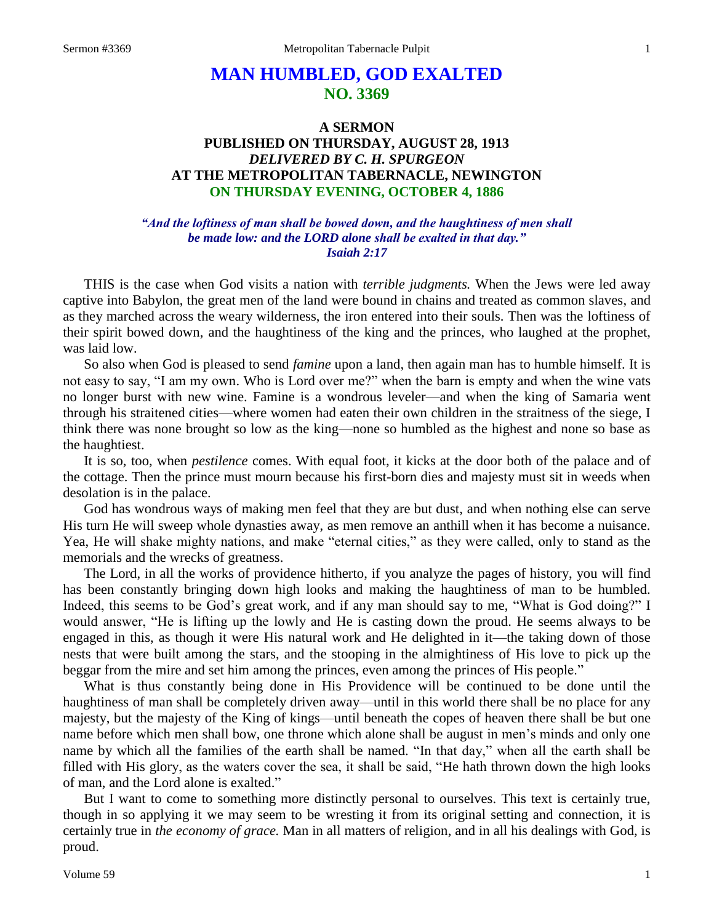# **MAN HUMBLED, GOD EXALTED NO. 3369**

# **A SERMON PUBLISHED ON THURSDAY, AUGUST 28, 1913** *DELIVERED BY C. H. SPURGEON* **AT THE METROPOLITAN TABERNACLE, NEWINGTON ON THURSDAY EVENING, OCTOBER 4, 1886**

# *"And the loftiness of man shall be bowed down, and the haughtiness of men shall be made low: and the LORD alone shall be exalted in that day." Isaiah 2:17*

THIS is the case when God visits a nation with *terrible judgments.* When the Jews were led away captive into Babylon, the great men of the land were bound in chains and treated as common slaves, and as they marched across the weary wilderness, the iron entered into their souls. Then was the loftiness of their spirit bowed down, and the haughtiness of the king and the princes, who laughed at the prophet, was laid low.

So also when God is pleased to send *famine* upon a land, then again man has to humble himself. It is not easy to say, "I am my own. Who is Lord over me?" when the barn is empty and when the wine vats no longer burst with new wine. Famine is a wondrous leveler—and when the king of Samaria went through his straitened cities—where women had eaten their own children in the straitness of the siege, I think there was none brought so low as the king—none so humbled as the highest and none so base as the haughtiest.

It is so, too, when *pestilence* comes. With equal foot, it kicks at the door both of the palace and of the cottage. Then the prince must mourn because his first-born dies and majesty must sit in weeds when desolation is in the palace.

God has wondrous ways of making men feel that they are but dust, and when nothing else can serve His turn He will sweep whole dynasties away, as men remove an anthill when it has become a nuisance. Yea, He will shake mighty nations, and make "eternal cities," as they were called, only to stand as the memorials and the wrecks of greatness.

The Lord, in all the works of providence hitherto, if you analyze the pages of history, you will find has been constantly bringing down high looks and making the haughtiness of man to be humbled. Indeed, this seems to be God's great work, and if any man should say to me, "What is God doing?" I would answer, "He is lifting up the lowly and He is casting down the proud. He seems always to be engaged in this, as though it were His natural work and He delighted in it—the taking down of those nests that were built among the stars, and the stooping in the almightiness of His love to pick up the beggar from the mire and set him among the princes, even among the princes of His people."

What is thus constantly being done in His Providence will be continued to be done until the haughtiness of man shall be completely driven away—until in this world there shall be no place for any majesty, but the majesty of the King of kings—until beneath the copes of heaven there shall be but one name before which men shall bow, one throne which alone shall be august in men's minds and only one name by which all the families of the earth shall be named. "In that day," when all the earth shall be filled with His glory, as the waters cover the sea, it shall be said, "He hath thrown down the high looks of man, and the Lord alone is exalted."

But I want to come to something more distinctly personal to ourselves. This text is certainly true, though in so applying it we may seem to be wresting it from its original setting and connection, it is certainly true in *the economy of grace.* Man in all matters of religion, and in all his dealings with God, is proud.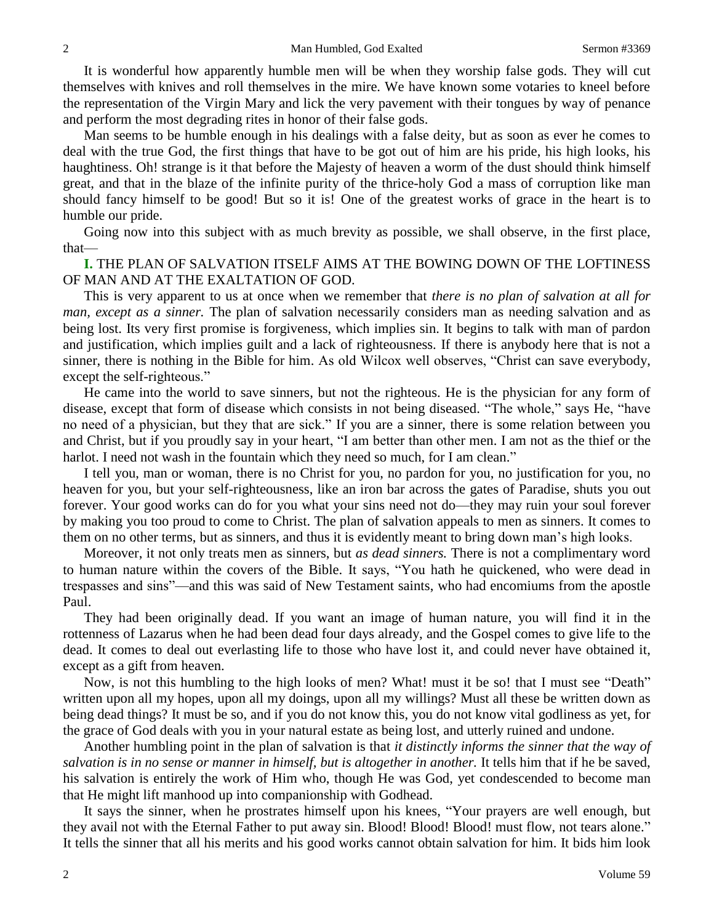It is wonderful how apparently humble men will be when they worship false gods. They will cut themselves with knives and roll themselves in the mire. We have known some votaries to kneel before the representation of the Virgin Mary and lick the very pavement with their tongues by way of penance and perform the most degrading rites in honor of their false gods.

Man seems to be humble enough in his dealings with a false deity, but as soon as ever he comes to deal with the true God, the first things that have to be got out of him are his pride, his high looks, his haughtiness. Oh! strange is it that before the Majesty of heaven a worm of the dust should think himself great, and that in the blaze of the infinite purity of the thrice-holy God a mass of corruption like man should fancy himself to be good! But so it is! One of the greatest works of grace in the heart is to humble our pride.

Going now into this subject with as much brevity as possible, we shall observe, in the first place, that—

# **I.** THE PLAN OF SALVATION ITSELF AIMS AT THE BOWING DOWN OF THE LOFTINESS OF MAN AND AT THE EXALTATION OF GOD.

This is very apparent to us at once when we remember that *there is no plan of salvation at all for man, except as a sinner.* The plan of salvation necessarily considers man as needing salvation and as being lost. Its very first promise is forgiveness, which implies sin. It begins to talk with man of pardon and justification, which implies guilt and a lack of righteousness. If there is anybody here that is not a sinner, there is nothing in the Bible for him. As old Wilcox well observes, "Christ can save everybody, except the self-righteous."

He came into the world to save sinners, but not the righteous. He is the physician for any form of disease, except that form of disease which consists in not being diseased. "The whole," says He, "have no need of a physician, but they that are sick." If you are a sinner, there is some relation between you and Christ, but if you proudly say in your heart, "I am better than other men. I am not as the thief or the harlot. I need not wash in the fountain which they need so much, for I am clean."

I tell you, man or woman, there is no Christ for you, no pardon for you, no justification for you, no heaven for you, but your self-righteousness, like an iron bar across the gates of Paradise, shuts you out forever. Your good works can do for you what your sins need not do—they may ruin your soul forever by making you too proud to come to Christ. The plan of salvation appeals to men as sinners. It comes to them on no other terms, but as sinners, and thus it is evidently meant to bring down man's high looks.

Moreover, it not only treats men as sinners, but *as dead sinners.* There is not a complimentary word to human nature within the covers of the Bible. It says, "You hath he quickened, who were dead in trespasses and sins"—and this was said of New Testament saints, who had encomiums from the apostle Paul.

They had been originally dead. If you want an image of human nature, you will find it in the rottenness of Lazarus when he had been dead four days already, and the Gospel comes to give life to the dead. It comes to deal out everlasting life to those who have lost it, and could never have obtained it, except as a gift from heaven.

Now, is not this humbling to the high looks of men? What! must it be so! that I must see "Death" written upon all my hopes, upon all my doings, upon all my willings? Must all these be written down as being dead things? It must be so, and if you do not know this, you do not know vital godliness as yet, for the grace of God deals with you in your natural estate as being lost, and utterly ruined and undone.

Another humbling point in the plan of salvation is that *it distinctly informs the sinner that the way of salvation is in no sense or manner in himself, but is altogether in another.* It tells him that if he be saved, his salvation is entirely the work of Him who, though He was God, yet condescended to become man that He might lift manhood up into companionship with Godhead.

It says the sinner, when he prostrates himself upon his knees, "Your prayers are well enough, but they avail not with the Eternal Father to put away sin. Blood! Blood! Blood! must flow, not tears alone." It tells the sinner that all his merits and his good works cannot obtain salvation for him. It bids him look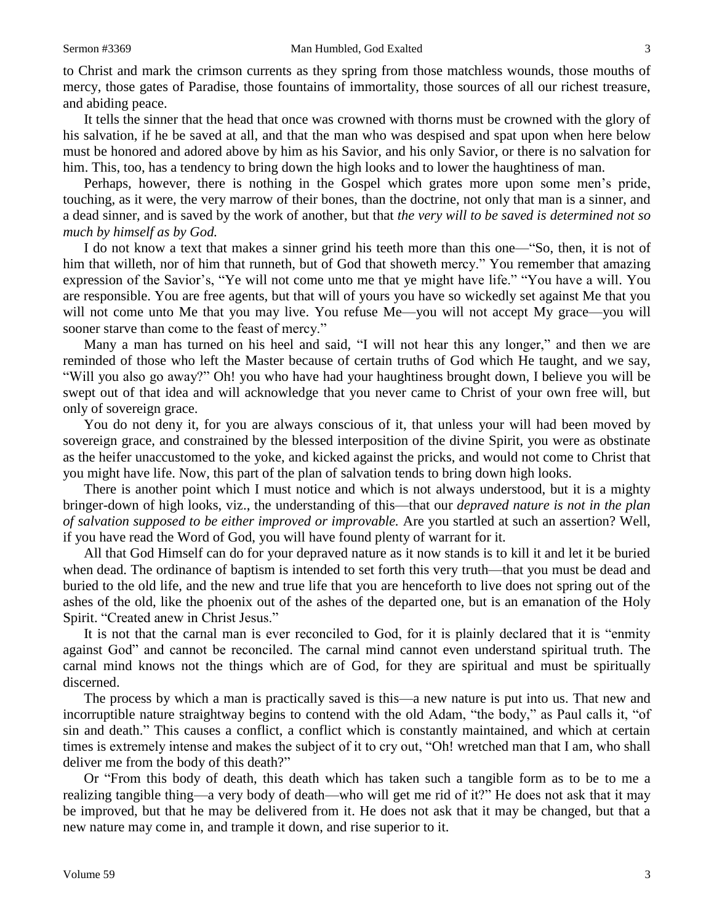to Christ and mark the crimson currents as they spring from those matchless wounds, those mouths of mercy, those gates of Paradise, those fountains of immortality, those sources of all our richest treasure, and abiding peace.

It tells the sinner that the head that once was crowned with thorns must be crowned with the glory of his salvation, if he be saved at all, and that the man who was despised and spat upon when here below must be honored and adored above by him as his Savior, and his only Savior, or there is no salvation for him. This, too, has a tendency to bring down the high looks and to lower the haughtiness of man.

Perhaps, however, there is nothing in the Gospel which grates more upon some men's pride, touching, as it were, the very marrow of their bones, than the doctrine, not only that man is a sinner, and a dead sinner, and is saved by the work of another, but that *the very will to be saved is determined not so much by himself as by God.* 

I do not know a text that makes a sinner grind his teeth more than this one—"So, then, it is not of him that willeth, nor of him that runneth, but of God that showeth mercy." You remember that amazing expression of the Savior's, "Ye will not come unto me that ye might have life." "You have a will. You are responsible. You are free agents, but that will of yours you have so wickedly set against Me that you will not come unto Me that you may live. You refuse Me—you will not accept My grace—you will sooner starve than come to the feast of mercy."

Many a man has turned on his heel and said, "I will not hear this any longer," and then we are reminded of those who left the Master because of certain truths of God which He taught, and we say, "Will you also go away?" Oh! you who have had your haughtiness brought down, I believe you will be swept out of that idea and will acknowledge that you never came to Christ of your own free will, but only of sovereign grace.

You do not deny it, for you are always conscious of it, that unless your will had been moved by sovereign grace, and constrained by the blessed interposition of the divine Spirit, you were as obstinate as the heifer unaccustomed to the yoke, and kicked against the pricks, and would not come to Christ that you might have life. Now, this part of the plan of salvation tends to bring down high looks.

There is another point which I must notice and which is not always understood, but it is a mighty bringer-down of high looks, viz., the understanding of this—that our *depraved nature is not in the plan of salvation supposed to be either improved or improvable.* Are you startled at such an assertion? Well, if you have read the Word of God, you will have found plenty of warrant for it.

All that God Himself can do for your depraved nature as it now stands is to kill it and let it be buried when dead. The ordinance of baptism is intended to set forth this very truth—that you must be dead and buried to the old life, and the new and true life that you are henceforth to live does not spring out of the ashes of the old, like the phoenix out of the ashes of the departed one, but is an emanation of the Holy Spirit. "Created anew in Christ Jesus."

It is not that the carnal man is ever reconciled to God, for it is plainly declared that it is "enmity against God" and cannot be reconciled. The carnal mind cannot even understand spiritual truth. The carnal mind knows not the things which are of God, for they are spiritual and must be spiritually discerned.

The process by which a man is practically saved is this—a new nature is put into us. That new and incorruptible nature straightway begins to contend with the old Adam, "the body," as Paul calls it, "of sin and death." This causes a conflict, a conflict which is constantly maintained, and which at certain times is extremely intense and makes the subject of it to cry out, "Oh! wretched man that I am, who shall deliver me from the body of this death?"

Or "From this body of death, this death which has taken such a tangible form as to be to me a realizing tangible thing—a very body of death—who will get me rid of it?" He does not ask that it may be improved, but that he may be delivered from it. He does not ask that it may be changed, but that a new nature may come in, and trample it down, and rise superior to it.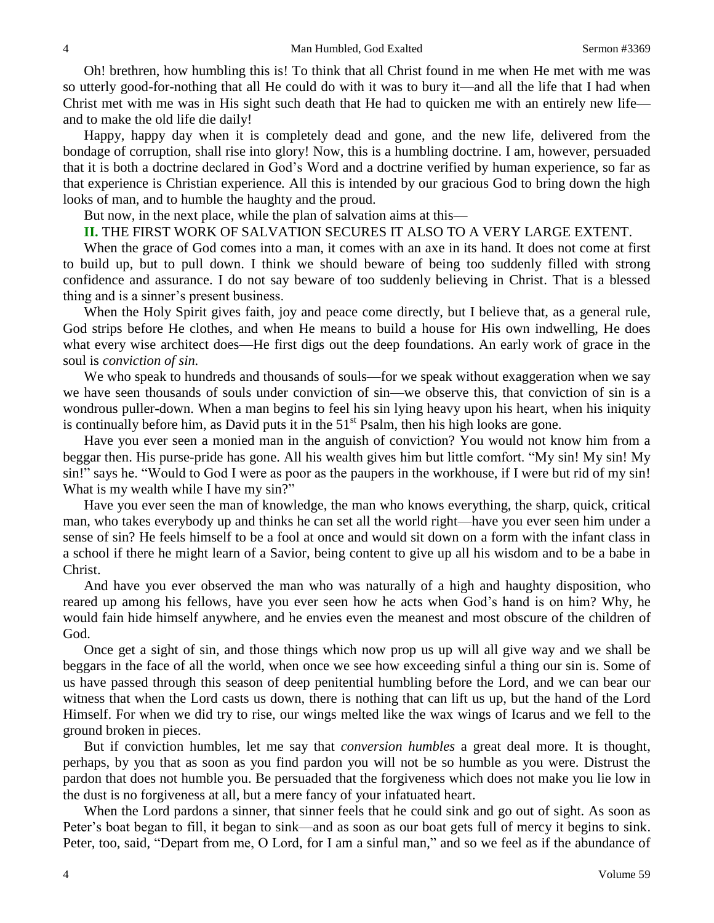Oh! brethren, how humbling this is! To think that all Christ found in me when He met with me was so utterly good-for-nothing that all He could do with it was to bury it—and all the life that I had when Christ met with me was in His sight such death that He had to quicken me with an entirely new life and to make the old life die daily!

Happy, happy day when it is completely dead and gone, and the new life, delivered from the bondage of corruption, shall rise into glory! Now, this is a humbling doctrine. I am, however, persuaded that it is both a doctrine declared in God's Word and a doctrine verified by human experience, so far as that experience is Christian experience*.* All this is intended by our gracious God to bring down the high looks of man, and to humble the haughty and the proud.

But now, in the next place, while the plan of salvation aims at this—

# **II.** THE FIRST WORK OF SALVATION SECURES IT ALSO TO A VERY LARGE EXTENT.

When the grace of God comes into a man, it comes with an axe in its hand. It does not come at first to build up, but to pull down. I think we should beware of being too suddenly filled with strong confidence and assurance. I do not say beware of too suddenly believing in Christ. That is a blessed thing and is a sinner's present business.

When the Holy Spirit gives faith, joy and peace come directly, but I believe that, as a general rule, God strips before He clothes, and when He means to build a house for His own indwelling, He does what every wise architect does—He first digs out the deep foundations. An early work of grace in the soul is *conviction of sin.* 

We who speak to hundreds and thousands of souls—for we speak without exaggeration when we say we have seen thousands of souls under conviction of sin—we observe this, that conviction of sin is a wondrous puller-down. When a man begins to feel his sin lying heavy upon his heart, when his iniquity is continually before him, as David puts it in the  $51<sup>st</sup>$  Psalm, then his high looks are gone.

Have you ever seen a monied man in the anguish of conviction? You would not know him from a beggar then. His purse-pride has gone. All his wealth gives him but little comfort. "My sin! My sin! My sin!" says he. "Would to God I were as poor as the paupers in the workhouse, if I were but rid of my sin! What is my wealth while I have my sin?"

Have you ever seen the man of knowledge, the man who knows everything, the sharp, quick, critical man, who takes everybody up and thinks he can set all the world right—have you ever seen him under a sense of sin? He feels himself to be a fool at once and would sit down on a form with the infant class in a school if there he might learn of a Savior, being content to give up all his wisdom and to be a babe in Christ.

And have you ever observed the man who was naturally of a high and haughty disposition, who reared up among his fellows, have you ever seen how he acts when God's hand is on him? Why, he would fain hide himself anywhere, and he envies even the meanest and most obscure of the children of God.

Once get a sight of sin, and those things which now prop us up will all give way and we shall be beggars in the face of all the world, when once we see how exceeding sinful a thing our sin is. Some of us have passed through this season of deep penitential humbling before the Lord, and we can bear our witness that when the Lord casts us down, there is nothing that can lift us up, but the hand of the Lord Himself. For when we did try to rise, our wings melted like the wax wings of Icarus and we fell to the ground broken in pieces.

But if conviction humbles, let me say that *conversion humbles* a great deal more. It is thought, perhaps, by you that as soon as you find pardon you will not be so humble as you were. Distrust the pardon that does not humble you. Be persuaded that the forgiveness which does not make you lie low in the dust is no forgiveness at all, but a mere fancy of your infatuated heart.

When the Lord pardons a sinner, that sinner feels that he could sink and go out of sight. As soon as Peter's boat began to fill, it began to sink—and as soon as our boat gets full of mercy it begins to sink. Peter, too, said, "Depart from me, O Lord, for I am a sinful man," and so we feel as if the abundance of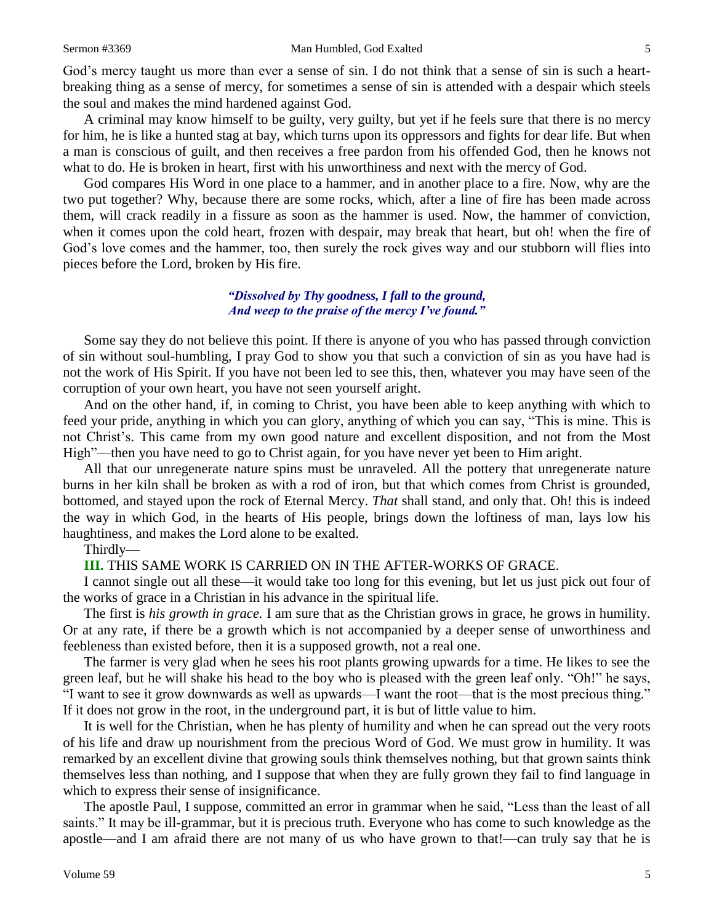God's mercy taught us more than ever a sense of sin. I do not think that a sense of sin is such a heartbreaking thing as a sense of mercy, for sometimes a sense of sin is attended with a despair which steels the soul and makes the mind hardened against God.

A criminal may know himself to be guilty, very guilty, but yet if he feels sure that there is no mercy for him, he is like a hunted stag at bay, which turns upon its oppressors and fights for dear life. But when a man is conscious of guilt, and then receives a free pardon from his offended God, then he knows not what to do. He is broken in heart, first with his unworthiness and next with the mercy of God.

God compares His Word in one place to a hammer, and in another place to a fire. Now, why are the two put together? Why, because there are some rocks, which, after a line of fire has been made across them, will crack readily in a fissure as soon as the hammer is used. Now, the hammer of conviction, when it comes upon the cold heart, frozen with despair, may break that heart, but oh! when the fire of God's love comes and the hammer, too, then surely the rock gives way and our stubborn will flies into pieces before the Lord, broken by His fire.

# *"Dissolved by Thy goodness, I fall to the ground, And weep to the praise of the mercy I've found."*

Some say they do not believe this point. If there is anyone of you who has passed through conviction of sin without soul-humbling, I pray God to show you that such a conviction of sin as you have had is not the work of His Spirit. If you have not been led to see this, then, whatever you may have seen of the corruption of your own heart, you have not seen yourself aright.

And on the other hand, if, in coming to Christ, you have been able to keep anything with which to feed your pride, anything in which you can glory, anything of which you can say, "This is mine. This is not Christ's. This came from my own good nature and excellent disposition, and not from the Most High"—then you have need to go to Christ again, for you have never yet been to Him aright.

All that our unregenerate nature spins must be unraveled. All the pottery that unregenerate nature burns in her kiln shall be broken as with a rod of iron, but that which comes from Christ is grounded, bottomed, and stayed upon the rock of Eternal Mercy. *That* shall stand, and only that. Oh! this is indeed the way in which God, in the hearts of His people, brings down the loftiness of man, lays low his haughtiness, and makes the Lord alone to be exalted.

Thirdly—

### **III.** THIS SAME WORK IS CARRIED ON IN THE AFTER-WORKS OF GRACE.

I cannot single out all these—it would take too long for this evening, but let us just pick out four of the works of grace in a Christian in his advance in the spiritual life.

The first is *his growth in grace.* I am sure that as the Christian grows in grace, he grows in humility. Or at any rate, if there be a growth which is not accompanied by a deeper sense of unworthiness and feebleness than existed before, then it is a supposed growth, not a real one.

The farmer is very glad when he sees his root plants growing upwards for a time. He likes to see the green leaf, but he will shake his head to the boy who is pleased with the green leaf only. "Oh!" he says, "I want to see it grow downwards as well as upwards—I want the root—that is the most precious thing." If it does not grow in the root, in the underground part, it is but of little value to him.

It is well for the Christian, when he has plenty of humility and when he can spread out the very roots of his life and draw up nourishment from the precious Word of God. We must grow in humility. It was remarked by an excellent divine that growing souls think themselves nothing, but that grown saints think themselves less than nothing, and I suppose that when they are fully grown they fail to find language in which to express their sense of insignificance.

The apostle Paul, I suppose, committed an error in grammar when he said, "Less than the least of all saints." It may be ill-grammar, but it is precious truth. Everyone who has come to such knowledge as the apostle—and I am afraid there are not many of us who have grown to that!—can truly say that he is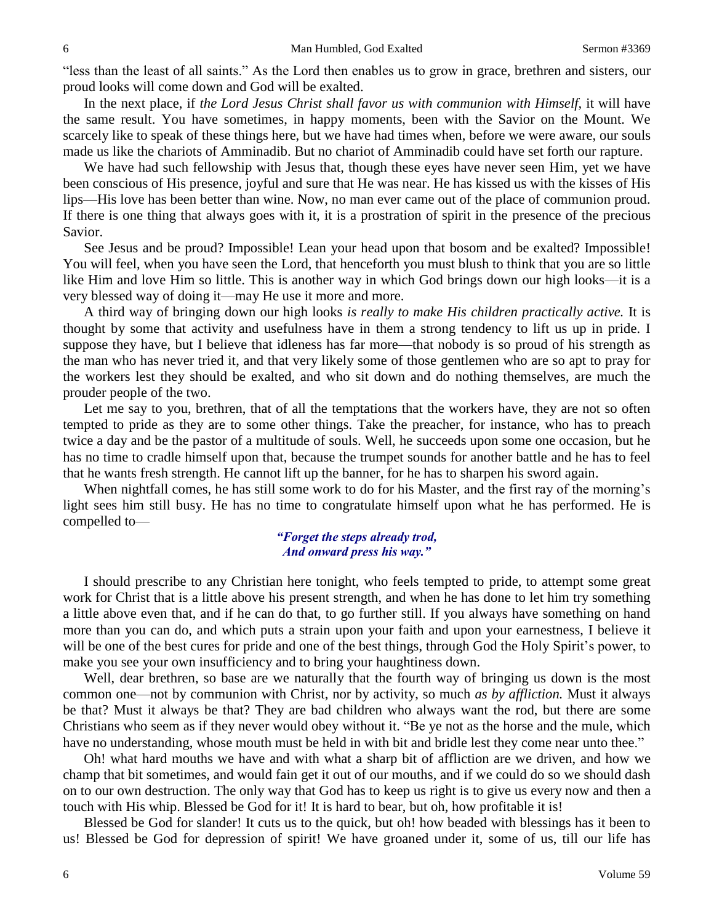"less than the least of all saints." As the Lord then enables us to grow in grace, brethren and sisters, our proud looks will come down and God will be exalted.

In the next place, if *the Lord Jesus Christ shall favor us with communion with Himself,* it will have the same result. You have sometimes, in happy moments, been with the Savior on the Mount. We scarcely like to speak of these things here, but we have had times when, before we were aware, our souls made us like the chariots of Amminadib. But no chariot of Amminadib could have set forth our rapture.

We have had such fellowship with Jesus that, though these eyes have never seen Him, yet we have been conscious of His presence, joyful and sure that He was near. He has kissed us with the kisses of His lips—His love has been better than wine. Now, no man ever came out of the place of communion proud. If there is one thing that always goes with it, it is a prostration of spirit in the presence of the precious Savior.

See Jesus and be proud? Impossible! Lean your head upon that bosom and be exalted? Impossible! You will feel, when you have seen the Lord, that henceforth you must blush to think that you are so little like Him and love Him so little. This is another way in which God brings down our high looks—it is a very blessed way of doing it—may He use it more and more.

A third way of bringing down our high looks *is really to make His children practically active.* It is thought by some that activity and usefulness have in them a strong tendency to lift us up in pride. I suppose they have, but I believe that idleness has far more—that nobody is so proud of his strength as the man who has never tried it, and that very likely some of those gentlemen who are so apt to pray for the workers lest they should be exalted, and who sit down and do nothing themselves, are much the prouder people of the two.

Let me say to you, brethren, that of all the temptations that the workers have, they are not so often tempted to pride as they are to some other things. Take the preacher, for instance, who has to preach twice a day and be the pastor of a multitude of souls. Well, he succeeds upon some one occasion, but he has no time to cradle himself upon that, because the trumpet sounds for another battle and he has to feel that he wants fresh strength. He cannot lift up the banner, for he has to sharpen his sword again.

When nightfall comes, he has still some work to do for his Master, and the first ray of the morning's light sees him still busy. He has no time to congratulate himself upon what he has performed. He is compelled to—

### *"Forget the steps already trod, And onward press his way."*

I should prescribe to any Christian here tonight, who feels tempted to pride, to attempt some great work for Christ that is a little above his present strength, and when he has done to let him try something a little above even that, and if he can do that, to go further still. If you always have something on hand more than you can do, and which puts a strain upon your faith and upon your earnestness, I believe it will be one of the best cures for pride and one of the best things, through God the Holy Spirit's power, to make you see your own insufficiency and to bring your haughtiness down.

Well, dear brethren, so base are we naturally that the fourth way of bringing us down is the most common one—not by communion with Christ, nor by activity, so much *as by affliction.* Must it always be that? Must it always be that? They are bad children who always want the rod, but there are some Christians who seem as if they never would obey without it. "Be ye not as the horse and the mule, which have no understanding, whose mouth must be held in with bit and bridle lest they come near unto thee."

Oh! what hard mouths we have and with what a sharp bit of affliction are we driven, and how we champ that bit sometimes, and would fain get it out of our mouths, and if we could do so we should dash on to our own destruction. The only way that God has to keep us right is to give us every now and then a touch with His whip. Blessed be God for it! It is hard to bear, but oh, how profitable it is!

Blessed be God for slander! It cuts us to the quick, but oh! how beaded with blessings has it been to us! Blessed be God for depression of spirit! We have groaned under it, some of us, till our life has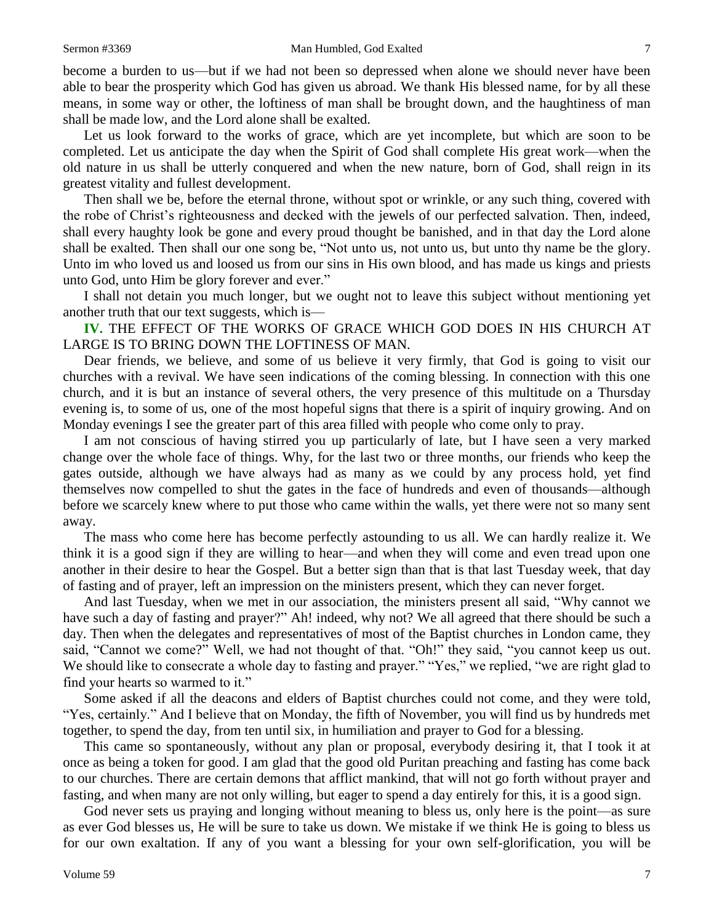become a burden to us—but if we had not been so depressed when alone we should never have been able to bear the prosperity which God has given us abroad. We thank His blessed name, for by all these means, in some way or other, the loftiness of man shall be brought down, and the haughtiness of man shall be made low, and the Lord alone shall be exalted.

Let us look forward to the works of grace, which are yet incomplete, but which are soon to be completed. Let us anticipate the day when the Spirit of God shall complete His great work—when the old nature in us shall be utterly conquered and when the new nature, born of God, shall reign in its greatest vitality and fullest development.

Then shall we be, before the eternal throne, without spot or wrinkle, or any such thing, covered with the robe of Christ's righteousness and decked with the jewels of our perfected salvation. Then, indeed, shall every haughty look be gone and every proud thought be banished, and in that day the Lord alone shall be exalted. Then shall our one song be, "Not unto us, not unto us, but unto thy name be the glory. Unto im who loved us and loosed us from our sins in His own blood, and has made us kings and priests unto God, unto Him be glory forever and ever."

I shall not detain you much longer, but we ought not to leave this subject without mentioning yet another truth that our text suggests, which is—

**IV.** THE EFFECT OF THE WORKS OF GRACE WHICH GOD DOES IN HIS CHURCH AT LARGE IS TO BRING DOWN THE LOFTINESS OF MAN*.* 

Dear friends, we believe, and some of us believe it very firmly, that God is going to visit our churches with a revival. We have seen indications of the coming blessing. In connection with this one church, and it is but an instance of several others, the very presence of this multitude on a Thursday evening is, to some of us, one of the most hopeful signs that there is a spirit of inquiry growing. And on Monday evenings I see the greater part of this area filled with people who come only to pray.

I am not conscious of having stirred you up particularly of late, but I have seen a very marked change over the whole face of things. Why, for the last two or three months, our friends who keep the gates outside, although we have always had as many as we could by any process hold, yet find themselves now compelled to shut the gates in the face of hundreds and even of thousands—although before we scarcely knew where to put those who came within the walls, yet there were not so many sent away.

The mass who come here has become perfectly astounding to us all. We can hardly realize it. We think it is a good sign if they are willing to hear—and when they will come and even tread upon one another in their desire to hear the Gospel. But a better sign than that is that last Tuesday week, that day of fasting and of prayer, left an impression on the ministers present, which they can never forget.

And last Tuesday, when we met in our association, the ministers present all said, "Why cannot we have such a day of fasting and prayer?" Ah! indeed, why not? We all agreed that there should be such a day. Then when the delegates and representatives of most of the Baptist churches in London came, they said, "Cannot we come?" Well, we had not thought of that. "Oh!" they said, "you cannot keep us out. We should like to consecrate a whole day to fasting and prayer." "Yes," we replied, "we are right glad to find your hearts so warmed to it."

Some asked if all the deacons and elders of Baptist churches could not come, and they were told, "Yes, certainly." And I believe that on Monday, the fifth of November, you will find us by hundreds met together, to spend the day, from ten until six, in humiliation and prayer to God for a blessing.

This came so spontaneously, without any plan or proposal, everybody desiring it, that I took it at once as being a token for good. I am glad that the good old Puritan preaching and fasting has come back to our churches. There are certain demons that afflict mankind, that will not go forth without prayer and fasting, and when many are not only willing, but eager to spend a day entirely for this, it is a good sign.

God never sets us praying and longing without meaning to bless us, only here is the point—as sure as ever God blesses us, He will be sure to take us down. We mistake if we think He is going to bless us for our own exaltation. If any of you want a blessing for your own self-glorification, you will be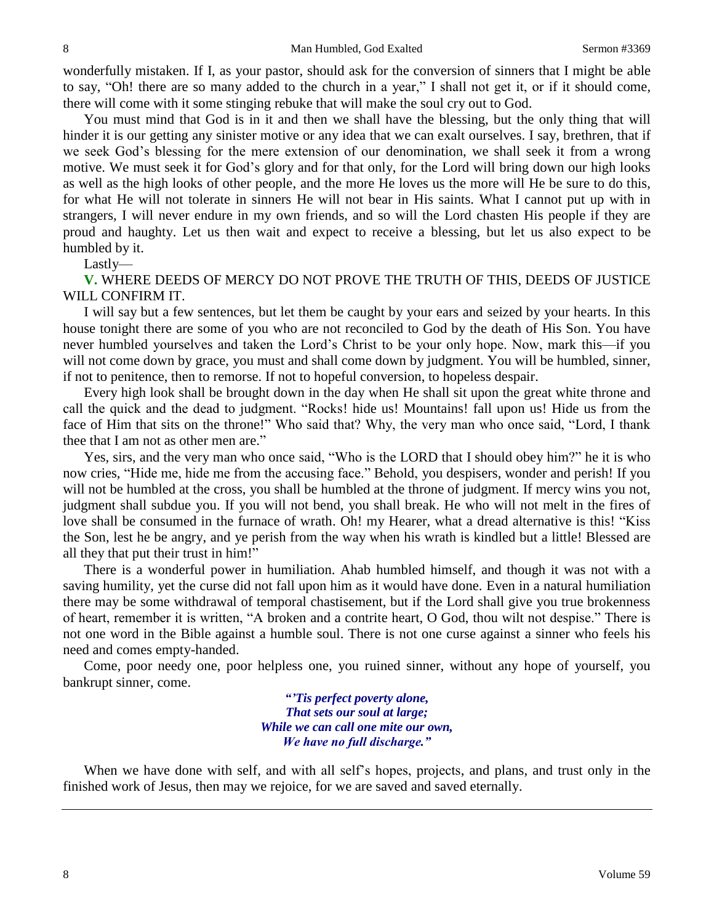wonderfully mistaken. If I, as your pastor, should ask for the conversion of sinners that I might be able to say, "Oh! there are so many added to the church in a year," I shall not get it, or if it should come, there will come with it some stinging rebuke that will make the soul cry out to God.

You must mind that God is in it and then we shall have the blessing, but the only thing that will hinder it is our getting any sinister motive or any idea that we can exalt ourselves. I say, brethren, that if we seek God's blessing for the mere extension of our denomination, we shall seek it from a wrong motive. We must seek it for God's glory and for that only, for the Lord will bring down our high looks as well as the high looks of other people, and the more He loves us the more will He be sure to do this, for what He will not tolerate in sinners He will not bear in His saints. What I cannot put up with in strangers, I will never endure in my own friends, and so will the Lord chasten His people if they are proud and haughty. Let us then wait and expect to receive a blessing, but let us also expect to be humbled by it.

Lastly—

**V.** WHERE DEEDS OF MERCY DO NOT PROVE THE TRUTH OF THIS, DEEDS OF JUSTICE WILL CONFIRM IT.

I will say but a few sentences, but let them be caught by your ears and seized by your hearts. In this house tonight there are some of you who are not reconciled to God by the death of His Son. You have never humbled yourselves and taken the Lord's Christ to be your only hope. Now, mark this—if you will not come down by grace, you must and shall come down by judgment. You will be humbled, sinner, if not to penitence, then to remorse. If not to hopeful conversion, to hopeless despair.

Every high look shall be brought down in the day when He shall sit upon the great white throne and call the quick and the dead to judgment. "Rocks! hide us! Mountains! fall upon us! Hide us from the face of Him that sits on the throne!" Who said that? Why, the very man who once said, "Lord, I thank thee that I am not as other men are."

Yes, sirs, and the very man who once said, "Who is the LORD that I should obey him?" he it is who now cries, "Hide me, hide me from the accusing face." Behold, you despisers, wonder and perish! If you will not be humbled at the cross, you shall be humbled at the throne of judgment. If mercy wins you not, judgment shall subdue you. If you will not bend, you shall break. He who will not melt in the fires of love shall be consumed in the furnace of wrath. Oh! my Hearer, what a dread alternative is this! "Kiss the Son, lest he be angry, and ye perish from the way when his wrath is kindled but a little! Blessed are all they that put their trust in him!"

There is a wonderful power in humiliation. Ahab humbled himself, and though it was not with a saving humility, yet the curse did not fall upon him as it would have done. Even in a natural humiliation there may be some withdrawal of temporal chastisement, but if the Lord shall give you true brokenness of heart, remember it is written, "A broken and a contrite heart, O God, thou wilt not despise." There is not one word in the Bible against a humble soul. There is not one curse against a sinner who feels his need and comes empty-handed.

Come, poor needy one, poor helpless one, you ruined sinner, without any hope of yourself, you bankrupt sinner, come.

> *"'Tis perfect poverty alone, That sets our soul at large; While we can call one mite our own, We have no full discharge."*

When we have done with self, and with all self's hopes, projects, and plans, and trust only in the finished work of Jesus, then may we rejoice, for we are saved and saved eternally.